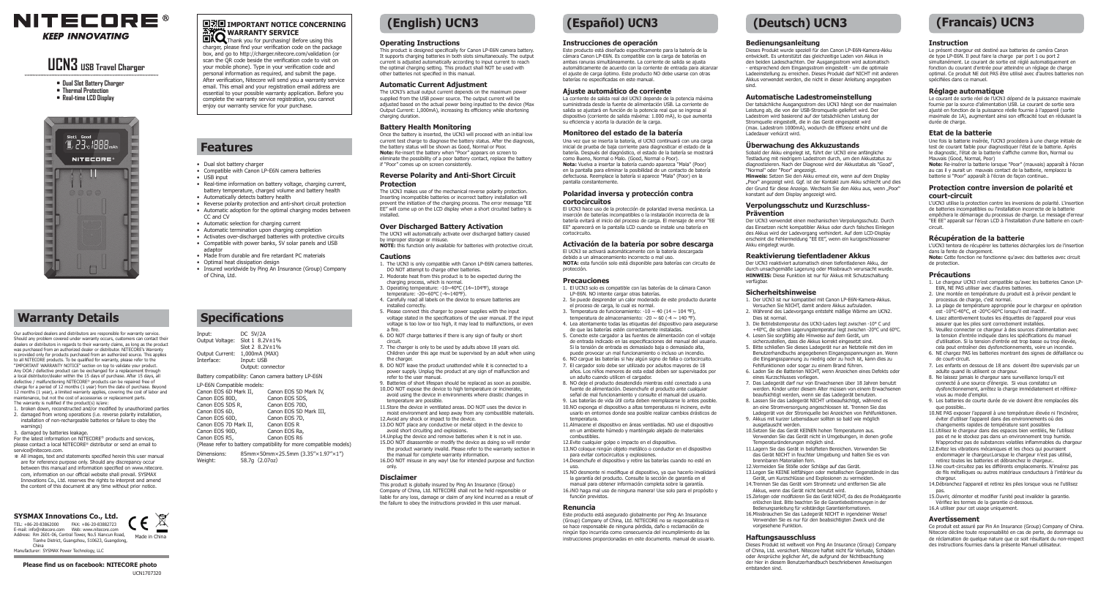

# **UCN3 USB Travel Charger**

- **• Dual Slot Battery Charger**
- **• Thermal Protection**
- **• Real-time LCD Display**



## **Warranty Details**

Our authorized dealers and distributors are responsible for warranty service. Should any problem covered under warranty occurs, customers can contact their dealers or distributors in regards to their warranty claims, as long as the product was purchased from an authorized dealer or distributor. NITECORE's Warranty is provided only for products purchased from an authorized source. This applies to all NITECORE products. To be qualified for warranty, please refer to the "IMPORTANT WARRANTY NOTICE" section on top to validate your product. Any DOA / defective product can be exchanged for a replacement through a local distributor/dealer within the 15 days of purchase. After 15 days, all defective / malfunctioning NITECORE® products can be repaired free of charge for a period of 12 months (1 year) from the date of purchase. Beyond 12 months (1 year), a limited warranty applies, covering the cost of labor and maintenance, but not the cost of accessories or replacement parts. The warranty is nullified if the product(s) is/are:

- 1. broken down, reconstructed and/or modified by unauthorized parties 2. damaged from wrong operations (i.e. reverse polarity installation, installation of non-rechargeable batteries or failure to obey the warnings)
- 3. damaged by batteries leakage.
- For the latest information on NITECORE® products and services, please contact a local NITECORE® distributor or send an email to service@nitecore.com.
- ※ All images, text and statements specified herein this user manual are for reference purpose only. Should any discrepancy occur between this manual and information specified on www.nitecore. com, information on our official website shall prevail. SYSMAX Innovations Co., Ltd. reserves the rights to interpret and amend the content of this document at any time without prior notice.

#### TEL: +86-20-83862000 FAX: +86-20-83882723 **SYSMAX Innovations Co., Ltd.**

E-mail: info@nitecore.com Web: www.nitecore.com  $\sim$ Address: Rm 2601-06, Central Tower, No.5 Xiancun Road, Made in China Tianhe District, Guangzhou, 510623, Guangdong,

China Manufacturer: SYSMAX Power Technology, LLC

#### **Please find us on facebook: NITECORE photo**

# **国动国 IMPORTANT NOTICE CONCERNING**

**WARRANTY SERVICE** Thank you for purchasing! Before using this charger, please find your verification code on the package box, and go to http://charger.nitecore.com/validation (or scan the QR code beside the verification code to visit on your mobile phone). Type in your verification code and personal information as required, and submit the page. After verification, Nitecore will send you a warranty service email. This email and your registration email address are essential to your possible warranty application. Before you complete the warranty service registration, you cannot enjoy our warranty service for your purchase.

 **Features**

• USB input

CC and CV

adaptor

of China, Ltd.

• Dual slot battery charger

• Compatible with Canon LP-E6N camera batteries

• Made from durable and fire retardant PC materials

Slot 2 8.2V±1%

Canon EOS 6D Mark II, Canon EOS 5D Mark IV,<br>Canon EOS 80D. Canon EOS 5DS.

Canon EOS 60D, Canon EOS 71<br>Canon EOS 7D Mark II. Canon EOS R Canon EOS 7D Mark II, Canon EOS R<br>Canon EOS 90D, Canon EOS Ra, Canon EOS 90D, Canon EOS Ra,<br>Canon EOS P5 Canon EOS P6

Canon EOS 5DS,<br>Canon EOS 70D,

(Please refer to battery compatibility for more compatible models) Dimensions: 85mm×50mm×25.5mm (3.35"×1.97"×1")<br>Weight: 58.7g (2.07oz) Weight: 58.7g**(**2.07oz**)**

Canon EOS 5D Mark III,<br>Canon EOS 7D,

• Automatically detects battery health

• Automatic selection for charging current • Automatic termination upon charging completion • Activates over-discharged batteries with protective circuits • Compatible with power banks, 5V solar panels and USB

• Real-time information on battery voltage, charging current, battery temperature, charged volume and battery health

• Reverse polarity protection and anti-short circuit protection • Automatic adoption for the optimal charging modes between

• Insured worldwide by Ping An Insurance (Group) Company

 **Specifications**

Input: DC 5V/2A Output Voltage: Slot 1 8.2V±1%

LP-E6N Compatible models:

Canon EOS 5DS R<sub>,</sub> Canon EOS 6D,

Canon EOS R5

Output Current: 1,000mA (MAX)<br>Interface: Input: USB Input: USB Output: connector Battery compatibility: Canon camera battery LP-E6N

• Optimal heat dissipation design

## **(English) UCN3**

#### **Operating Instructions**

This product is designed specifically for Canon LP-E6N camera battery. It supports charging batteries in both slots simultaneously. The output current is adjusted automatically according to input current to reach the optimal charging setting. This product shall NOT be used with other batteries not specified in this manual.

#### **Automatic Current Adjustment**

The UCN3's actual output current depends on the maximum power supplied from the USB power source. The output current will be adjusted based on the actual power being inputted to the device (Max Output Current: 1,000mA), increasing its efficiency while shortening charging duration.

#### **Battery Health Monitoring**

Once the battery is inserted, the UCN3 will proceed with an initial low current test charge to diagnose the battery status. After the diagnosis the battery status will be shown as Good, Normal or Poor. **Note:** Re-insert the battery when "Poor" appears on screen to eliminate the possibility of a poor battery contact, replace the battery if "Poor" comes up on screen consistently.

#### **Reverse Polarity and Anti-Short Circuit Protection**

The UCN3 makes use of the mechanical reverse polarity protection. Inserting incompatible batteries or incorrect battery installation will prevent the initiation of the charging process. The error message "EE EE" will come up on the LCD display when a short circuited battery is installed.

#### **Over Discharged Battery Activation**

The UCN3 will automatically activate over discharged battery caused by improper storage or misuse. **NOTE:** this function only available for batteries with protective circuit.

#### **Cautions**

- 1. The UCN3 is only compatible with Canon LP-E6N camera batteries. DO NOT attempt to charge other batteries.
- 2. Moderate heat from this product is to be expected during the charging process, which is normal
- 3. Operating temperature: -10~40℃ (14~104℉), storage temperature: -20~60℃ (-4~140℉).
- 4. Carefully read all labels on the device to ensure batteries are installed correctly.
- 5. Please connect this charger to power supplies with the input voltage stated in the specifications of the user manual. If the input voltage is too low or too high, it may lead to malfunctions, or even a fire.
- 6. DO NOT charge batteries if there is any sign of faulty or short circuit.
- 7. The charger is only to be used by adults above 18 years old. Children under this age must be supervised by an adult when using the charger.
- 8. DO NOT leave the product unattended while it is connected to a power supply. Unplug the product at any sign of malfunction and refer to the user manual.
- 9. Batteries of short lifespan should be replaced as soon as possible. 10.DO NOT expose the device to high temperature or incinerate, avoid using the device in environments where drastic changes in
- temperature are possible. 11.Store the device in ventilated areas. DO NOT uses the device in
- moist environment and keep away from any combustible materials. 12.Avoid any shock or impact to the device.
- 13.DO NOT place any conductive or metal object in the device to
- avoid short circuiting and explosions. 14. Unplug the device and remove batteries when it is not in use.
- 15.DO NOT disassemble or modify the device as doing so will render the product warranty invalid. Please refer to the warranty section in
- the manual for complete warranty information. 16.DO NOT misuse in any way! Use for intended purpose and function
- only.

#### **Disclaimer**

This product is globally insured by Ping An Insurance (Group) Company of China, Ltd. NITECORE shall not be held responsible or liable for any loss, damage or claim of any kind incurred as a result of the failure to obey the instructions provided in this user manual.

### **(Español) UCN3 (Deutsch) UCN3**

#### **Instrucciones de operación**

Este producto está diseñado específicamente para la batería de la cámara Canon LP-E6N. Es compatible con la carga de baterías en ambas ranuras simultáneamente. La corriente de salida se ajusta automáticamente de acuerdo con la corriente de entrada para alcanzar el ajuste de carga óptimo. Este producto NO debe usarse con otras baterías no especificadas en este manual.

#### **Ajuste automático de corriente**

La corriente de salida real del UCN3 depende de la potencia máxima suministrada desde la fuente de alimentación USB. La corriente de salida se ajustará en función de la potencia real que se ingresa al dispositivo (corriente de salida máxima: 1.000 mA), lo que aumenta su eficiencia y acorta la duración de la carga.

#### **Monitoreo del estado de la batería**

Una vez que se inserta la batería, el UCN3 continuará con una carga inicial de prueba de baja corriente para diagnosticar el estado de la batería. Después del diagnóstico, el estado de la batería se mostrará como Bueno, Normal o Malo. (Good, Normal o Poor). **Nota:** Vuelva a insertar la batería cuando aparezca "Mala" (Poor) en la pantalla para eliminar la posibilidad de un contacto de batería defectuosa. Reemplace la batería si aparece "Mala" (Poor) en la pantalla constantemente.

#### **Polaridad inversa y protección contra cortocircuitos**

#### El UCN3 hace uso de la protección de polaridad inversa mecánica. La inserción de baterías incompatibles o la instalación incorrecta de la batería evitará el inicio del proceso de carga. El mensaje de error "EE

cortocircuito. **Activación de la batería por sobre descarga**

### El UCN3 se activará automáticamente con la batería descargada

EE" aparecerá en la pantalla LCD cuando se instale una batería en

debido a un almacenamiento incorrecto o mal uso. **NOTA:** esta función solo está disponible para baterías con circuito de protección.

#### **Precauciones**

- 1. El UCN3 solo es compatible con las baterías de la cámara Canon LP-E6N. NO intente cargar otras baterías.
	- 2. Se puede desprender un calor moderado de este producto durante el proceso de carga, lo cual es normal. 3. Temperatura de funcionamiento: -10 ~ 40 (14 ~ 104 °F).
		- temperatura de almacenamiento: -20 ~ 60 (-4 ~ 140 °F). 4. Lea atentamente todas las etiquetas del dispositivo para asegurarse
		- de que las baterías estén correctamente instaladas. 5. Conecte este cargador a las fuentes de alimentación con el voltaje de entrada indicado en las especificaciones del manual del usuario.
	- Si la tensión de entrada es demasiado baja o demasiado alta, puede provocar un mal funcionamiento o incluso un incendio.
	- 6. NO cargue las baterías si hay algún signo de falla o cortocircuito. 7. El cargador solo debe ser utilizado por adultos mayores de 18 años. Los niños menores de esta edad deben ser supervisados por
	- un adulto cuando utilicen el cargador. 8. NO deje el producto desatendido mientras esté conectado a una fuente de alimentación. Desenchufe el producto ante cualquier señal de mal funcionamiento y consulte el manual del usuario.
	- 9. Las baterías de vida útil corta deben reemplazarse lo antes posible. 10.NO exponga el dispositivo a altas temperaturas ni incinere, evite usarlo en entornos donde sea posible realizar cambios drásticos de
	- temperatura. 11.Almacene el dispositivo en áreas ventiladas. NO use el dispositivo
		- en un ambiente húmedo y manténgalo alejado de materiales combustibles.
		- 12.Evite cualquier golpe o impacto en el dispositivo. 13.NO coloque ningún objeto metálico o conductor en el dispositivo
		- para evitar cortocircuitos y explosiones. 14.Desenchufe el dispositivo y retire las baterías cuando no esté en
		- uso. 15.NO desmonte ni modifique el dispositivo, ya que hacerlo invalidará la garantía del producto. Consulte la sección de garantía en el manual para obtener información completa sobre la garantía. 16.¡NO haga mal uso de ninguna manera! Use solo para el propósito y función previstos.

#### **Renuncia**

Este producto está asegurado globalmente por Ping An Insurance (Group) Company of China, Ltd. NITECORE no se responsabiliza ni se hace responsable de ninguna pérdida, daño o reclamación de ningún tipo incurrida como consecuencia del incumplimiento de las instrucciones proporcionadas en este documento. manual de usuario.

#### **Bedienungsanleitung**

Dieses Produkt wurde speziell für den Canon LP-E6N-Kamera-Akku entwickelt. Es unterstützt das gleichzeitige Laden von Akkus in den beiden Ladeschachten. Der Ausgangsstrom wird automatisch - entsprechend dem Eingangsstrom eingestellt - um die optimale Ladeeinstellung zu erreichen. Dieses Produkt darf NICHT mit anderen Akkus verwendet werden, die nicht in dieser Anleitung angegeben sind.

**Instruction**

durée de charge. **Etat de la batterie**

**court-circuit** 

circuit.

de protection. **Précautions**

de court-circuit.

que possible..

chargeur.

**Avertissement**

vous au mode d'emploi.

spécifiées dans ce manuel. **Réglage automatique** 

Mauvais (Good, Normal, Poor)

**Récupération de la batterie**

E6N, NE PAS utiliser avec d'autres batteries. 2. Une montée en température du produit est à prévoir pendant le

processus de charge, c'est normal.

adulte quand ils utilisent ce chargeur.

dans la fente de chargement.

Le présent chargeur est destiné aux batteries de caméra Canon de type LP-E6N. Il peut faire la charge par port 1 ou port 2 simultanément. Le courant de sortie est réglé automatiquement en fonction du courant d'entrée pour atteindre un réglage de charge optimal. Ce produit NE doit PAS être utilisé avec d'autres batteries non

 **(Francais) UCN3**

Le courant de sortie réel de l'UCN3 dépend de la puissance maximale fournie par la source d'alimentation USB. Le courant de sortie sera ajusté en fonction de la puissance réelle fournie à l'appareil (sortie maximale de 1A), augmentant ainsi son efficacité tout en réduisant la

Une fois la batterie insérée, l'UCN3 procédera à une charge initiale de test de courant faible pour diagnostiquer l'état de la batterie. Après le diagnostic, l'état de la batterie s'affiche comme Bon, Normal ou

**Note:** Re-insérer la batterie lorsque "Poor" (mauvais) apparaît à l'écran au cas il y aurait un mauvais contact de la batterie, remplacez la batterie si "Poor" apparaît à l'écran de façon continue.. **Protection contre inversion de polarité et** 

L'UCN3 utilise la protection contre les inversions de polarité. L'insertion de batteries incompatibles ou l'installation incorrecte de la batterie empêchera le démarrage du processus de charge. Le message d'erreur "EE EE" apparaît sur l'écran LCD à l'installation d'une batterie en court-

L'UCN3 tentera de récupérer les batteries déchargées lors de l'insertion

**Note:** Cette fonction ne fonctionne qu'avec des batteries avec circuit

1. Le chargeur UCN3 n'est compatible qu'avec les batteries Canon LP-

3. La plage de température appropriée pour le chargeur en opération est -10°C-40°C, et -20°C-60°C lorsqu'il est inactif.. 4. Lisez attentivement toutes les étiquettes de l'appareil pour vous assurer que les piles sont correctement installées. 5. Veuillez connecter ce chargeur à des sources d'alimentation avec la tension d'entrée indiquée dans les spécifications du manuel d'utilisation. Si la tension d'entrée est trop basse ou trop élevée, cela peut entraîner des dysfonctionnements, voire un incendie. 6. NE chargez PAS les batteries montrant des signes de défaillance ou

7. Les enfants en dessous de 18 ans doivent être supervisés par un

9. Les batteries de courte durée de vie doivent être remplacées dès

10.NE PAS exposer l'appareil à une température élevée ni l'incinérer, éviter d'utiliser l'appareil dans des environnements où des changements rapides de température sont possibles 11.Utilisez le chargeur dans des espaces bien ventilés, Ne l'utilisez pas et ne le stockez pas dans un environnement trop humide. N'approchez pas de substances volatiles inflammables du chargeur 12.Evitez les vibrations mécaniques et les chocs qui pourraient endommager le chargeur.Lorsque le chargeur n'est pas utilisé, retirez toutes les batteries et débranchez le chargeur.. 13.Ne court-circuitez pas les différents emplacements. N'insérez pas de fils métalliques ou autres matériaux conducteurs à l'intérieur du

14.Débranchez l'appareil et retirez les piles lorsque vous ne l'utilisez pas. 15.Ouvrir, démonter et modifier l'unité peut invalider la garantie. Vérifiez les termes de la garantie ci-dessous. 16.A utiliser pour cet usage uniquement.

Ce produit est assuré par Pin An Insurance (Group) Company of China. Nitecore décline toute responsabilité en cas de perte, de dommage ou de réclamation de quelque nature que ce soit résultant du non-respect des instructions fournies dans la présente Manuel utilisateur.

8. Ne laissez jamais le chargeur sans surveillance lorsqu'il est connecté à une source d'énergie. Si vous constatez un dysfonctionnement, arrêtez la charge immédiatement et référez-

#### **Automatische Ladestromeinstellung**

Der tatsächliche Ausgangsstrom des UCN3 hängt von der maximalen Leistung ab, die von der USB-Stromquelle geliefert wird. Der Ladestrom wird basierend auf der tatsächlichen Leistung der Stromquelle eingestellt, die in das Gerät eingespeist wird (max. Ladestrom 1000mA), wodurch die Effizienz erhöht und die Ladedauer verkürzt wird.

#### **Überwachung des Akkuzustands**

Sobald der Akku eingelegt ist, führt der UCN3 eine anfängliche Testladung mit niedrigem Ladestrom durch, um den Akkustatus zu diagnostizieren. Nach der Diagnose wird der Akkustatus als "Good", "Normal" oder "Poor" angezeigt. **Hinweis:** Setzen Sie den Akku erneut ein, wenn auf dem Display "Poor" angezeigt wird. Ggf. ist der Kontakt zum Akku schlecht und dies der Grund für diese Anzeige. Wechseln Sie den Akku aus, wenn "Poor" konstant auf dem Display angezeigt wird.

#### **Verpolungsschutz und Kurzschluss-Prävention**

Der UCN3 verwendet einen mechanischen Verpolungsschutz. Durch das Einsetzen nicht kompatibler Akkus oder durch falsches Einlegen des Akkus wird der Ladevorgang verhindert. Auf dem LCD-Display erscheint die Fehlermeldung "EE EE", wenn ein kurzgeschlossener Akku eingelegt wurde.

#### **Reaktivierung tiefentladener Akkus**

Der UCN3 reaktiviert automatisch einen tiefentladenen Akku, der durch unsachgemäße Lagerung oder Missbrauch verursacht wurde. **HINWEIS:** Diese Funktion ist nur für Akkus mit Schutzschaltung verfügbar.

#### **Sicherheitshinweise**

- 1. Der UCN3 ist nur kompatibel mit Canon LP-E6N-Kamera-Akkus.
- Versuchen Sie NICHT, damit andere Akkus aufzuladen. 2. Während des Ladevorgangs entsteht mäßige Wärme am UCN2.
- Dies ist normal. 3. Die Betriebstemperatur des UCN3-Laders liegt zwischen -10° C und
- +40°C, die sichere Lagerungstemperatur liegt zwischen -20°C und 60°C. 4. Lesen Sie sorgfältig alle Hinweise auf dem Gerät, um sicherzustellen, dass die Akkus korrekt eingesetzt sind.
- 5. Bitte schließen Sie dieses Ladegerät nur an Netzteile mit den im Benutzerhandbuchs angegebenen Eingangsspannungen an. Wenn die Eingangsspannung zu niedrig oder zu hoch ist, kann dies zu Fehlfunktionen oder sogar zu einem Brand führen.
- 6. Laden Sie die Batterien NICHT, wenn Anzeichen eines Defekts oder eines Kurzschlusses vorliegen.
- 7. Das Ladegerät darf nur von Erwachsenen über 18 Jahren benutzt werden. Kinder unter diesem Alter müssen von einem Erwachsenen beaufsichtigt werden, wenn sie das Ladegerät benutzen.
- 8. Lassen Sie das Ladegerät NICHT unbeaufsichtigt, während es an eine Stromversorgung angeschlossen ist. Trennen Sie das Ladegerät von der Stromquelle bei Anzeichen von Fehlfunktionen.
- 9. Akkus mit kurzer Lebensdauer sollten so bald wie möglich ausgetauscht werden. 10.Setzen Sie das Gerät KEINEN hohen Temperaturen aus.
- Verwenden Sie das Gerät nicht in Umgebungen, in denen große Temperaturänderungen möglich sind.
- 11.Lagern Sie das Gerät in belüfteten Bereichen. Verwenden Sie das Gerät NICHT in feuchter Umgebung und halten Sie es von brennbaren Materialien fern. 12.Vermeiden Sie Stöße oder Schläge auf das Gerät. 13.Legen Sie KEINE leitfähigen oder metallischen Gegenstände in das

15.Zerlegen oder modifizieren Sie das Gerät NICHT, da dies die Produktgarantie erlöschen lässt. Bitte beachten Sie die Garantiebestimmungen in der Bedienungsanleitung für vollständige Garantieinformationen. 16.Missbrauchen Sie das Ladegerät NICHT in irgendeiner Weise! Verwenden Sie es nur für den beabsichtigten Zweck und die

Dieses Produkt ist weltweit von Ping An Insurance (Group) Company of China, Ltd. versichert. Nitecore haftet nicht für Verluste, Schäden oder Ansprüche jeglicher Art, die aufgrund der Nichtbeachtung der hier in diesem Benutzerhandbuch beschriebenen Anweisungen

Gerät, um Kurzschlüsse und Explosionen zu vermeiden. 14.Trennen Sie das Gerät vom Stromnetz und entfernen Sie alle Akkus, wenn das Gerät nicht benutzt wird.

vorgesehene Funktion. **Haftungsausschluss**

entstanden sind.